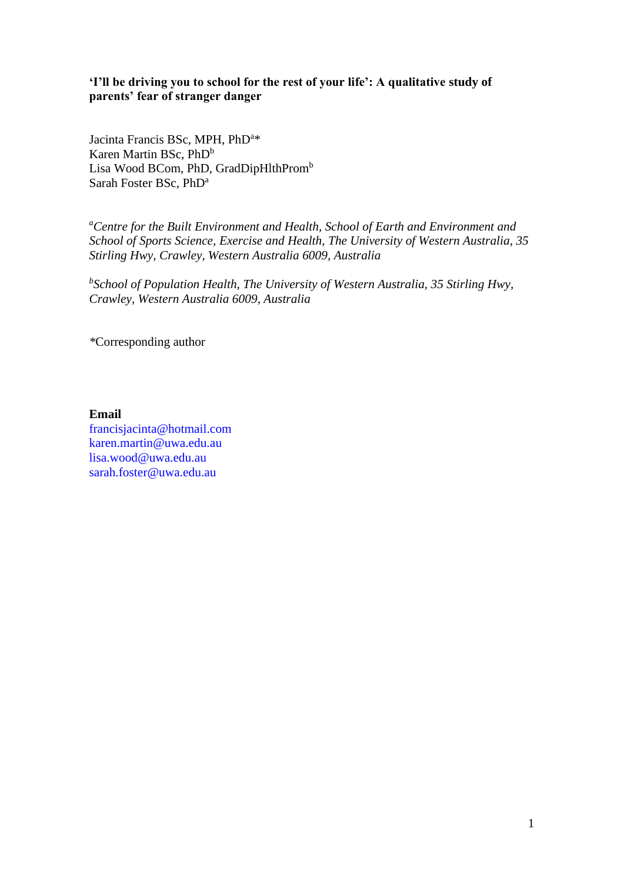# **'I'll be driving you to school for the rest of your life': A qualitative study of parents' fear of stranger danger**

Jacinta Francis BSc, MPH, PhD<sup>a\*</sup> Karen Martin BSc, PhD<sup>b</sup> Lisa Wood BCom, PhD, GradDipHlthProm<sup>b</sup> Sarah Foster BSc, PhD<sup>a</sup>

*<sup>a</sup>Centre for the Built Environment and Health, School of Earth and Environment and School of Sports Science, Exercise and Health, The University of Western Australia, 35 Stirling Hwy, Crawley, Western Australia 6009, Australia*

*b School of Population Health, The University of Western Australia, 35 Stirling Hwy, Crawley, Western Australia 6009, Australia*

*\**Corresponding author

**Email** 

francisjacinta@hotmail.com karen.martin@uwa.edu.au lisa.wood@uwa.edu.au sarah.foster@uwa.edu.au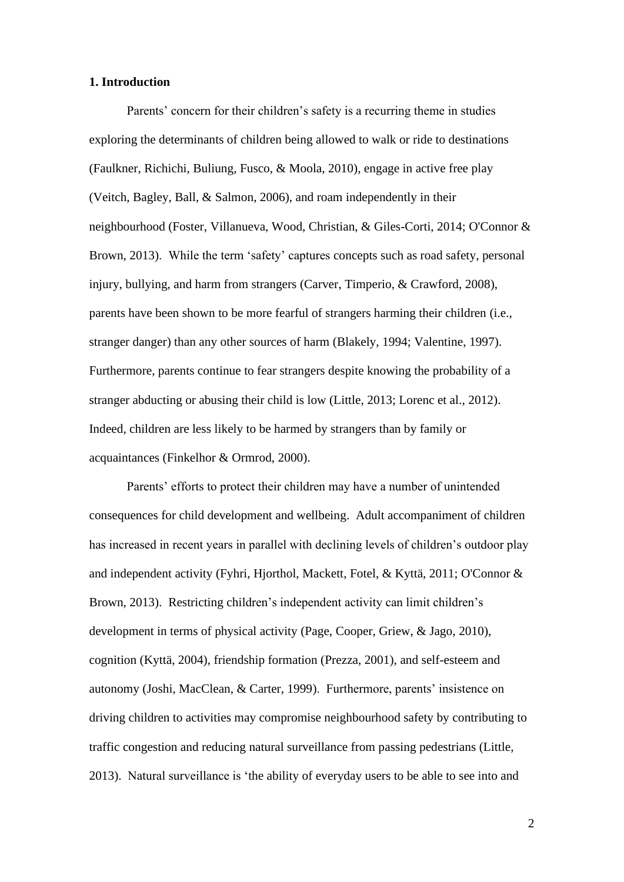### **1. Introduction**

Parents' concern for their children's safety is a recurring theme in studies exploring the determinants of children being allowed to walk or ride to destinations [\(Faulkner, Richichi, Buliung, Fusco, & Moola, 2010\)](#page-26-0), engage in active free play [\(Veitch, Bagley, Ball, & Salmon, 2006\)](#page-30-0), and roam independently in their neighbourhood [\(Foster, Villanueva, Wood, Christian, & Giles-Corti, 2014;](#page-27-0) [O'Connor &](#page-29-0)  [Brown, 2013\)](#page-29-0). While the term 'safety' captures concepts such as road safety, personal injury, bullying, and harm from strangers [\(Carver, Timperio, & Crawford, 2008\)](#page-26-1), parents have been shown to be more fearful of strangers harming their children (i.e., stranger danger) than any other sources of harm [\(Blakely, 1994;](#page-26-2) [Valentine, 1997\)](#page-30-1). Furthermore, parents continue to fear strangers despite knowing the probability of a stranger abducting or abusing their child is low [\(Little, 2013;](#page-28-0) [Lorenc et al., 2012\)](#page-28-1). Indeed, children are less likely to be harmed by strangers than by family or acquaintances [\(Finkelhor & Ormrod, 2000\)](#page-27-1).

Parents' efforts to protect their children may have a number of unintended consequences for child development and wellbeing. Adult accompaniment of children has increased in recent years in parallel with declining levels of children's outdoor play and independent activity [\(Fyhri, Hjorthol, Mackett, Fotel, & Kyttä, 2011;](#page-27-2) [O'Connor &](#page-29-0)  [Brown, 2013\)](#page-29-0). Restricting children's independent activity can limit children's development in terms of physical activity [\(Page, Cooper, Griew, & Jago, 2010\)](#page-29-1), cognition [\(Kyttä, 2004\)](#page-28-2), friendship formation [\(Prezza, 2001\)](#page-29-2), and self-esteem and autonomy [\(Joshi, MacClean, & Carter, 1999\)](#page-28-3). Furthermore, parents' insistence on driving children to activities may compromise neighbourhood safety by contributing to traffic congestion and reducing natural surveillance from passing pedestrians [\(Little,](#page-28-0)  [2013\)](#page-28-0). Natural surveillance is 'the ability of everyday users to be able to see into and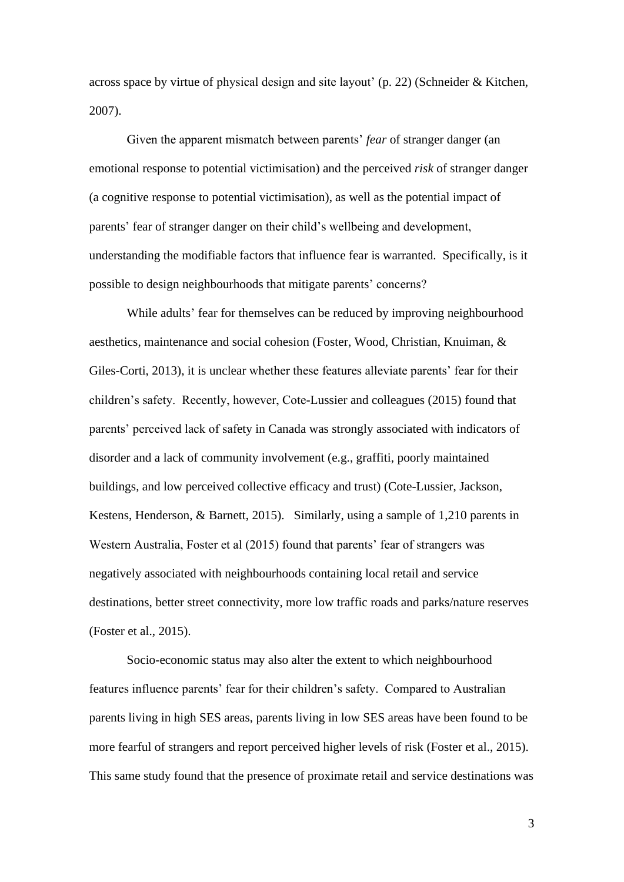across space by virtue of physical design and site layout' (p. 22) [\(Schneider & Kitchen,](#page-30-2)  [2007\)](#page-30-2).

Given the apparent mismatch between parents' *fear* of stranger danger (an emotional response to potential victimisation) and the perceived *risk* of stranger danger (a cognitive response to potential victimisation), as well as the potential impact of parents' fear of stranger danger on their child's wellbeing and development, understanding the modifiable factors that influence fear is warranted. Specifically, is it possible to design neighbourhoods that mitigate parents' concerns?

While adults' fear for themselves can be reduced by improving neighbourhood aesthetics, maintenance and social cohesion [\(Foster, Wood, Christian, Knuiman, &](#page-27-3)  [Giles-Corti, 2013\)](#page-27-3), it is unclear whether these features alleviate parents' fear for their children's safety. Recently, however, Cote-Lussier and colleagues (2015) found that parents' perceived lack of safety in Canada was strongly associated with indicators of disorder and a lack of community involvement (e.g., graffiti, poorly maintained buildings, and low perceived collective efficacy and trust) [\(Cote-Lussier, Jackson,](#page-26-3)  [Kestens, Henderson, & Barnett, 2015\)](#page-26-3). Similarly, using a sample of 1,210 parents in Western Australia, Foster et al (2015) found that parents' fear of strangers was negatively associated with neighbourhoods containing local retail and service destinations, better street connectivity, more low traffic roads and parks/nature reserves [\(Foster et al., 2015\)](#page-27-4).

Socio-economic status may also alter the extent to which neighbourhood features influence parents' fear for their children's safety. Compared to Australian parents living in high SES areas, parents living in low SES areas have been found to be more fearful of strangers and report perceived higher levels of risk [\(Foster et al., 2015\)](#page-27-4). This same study found that the presence of proximate retail and service destinations was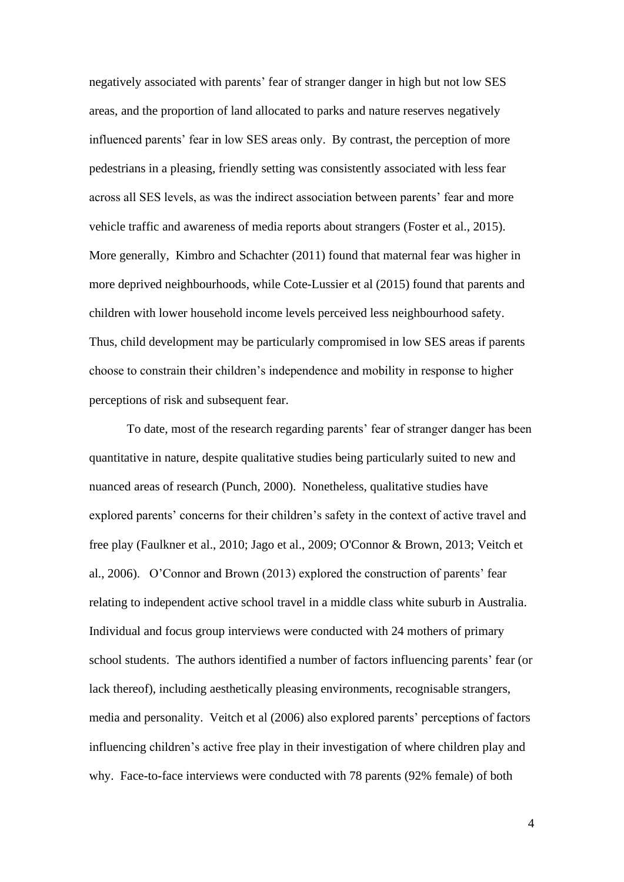negatively associated with parents' fear of stranger danger in high but not low SES areas, and the proportion of land allocated to parks and nature reserves negatively influenced parents' fear in low SES areas only. By contrast, the perception of more pedestrians in a pleasing, friendly setting was consistently associated with less fear across all SES levels, as was the indirect association between parents' fear and more vehicle traffic and awareness of media reports about strangers [\(Foster et al., 2015\)](#page-27-4). More generally, Kimbro and Schachter (2011) found that maternal fear was higher in more deprived neighbourhoods, while Cote-Lussier et al (2015) found that parents and children with lower household income levels perceived less neighbourhood safety. Thus, child development may be particularly compromised in low SES areas if parents choose to constrain their children's independence and mobility in response to higher perceptions of risk and subsequent fear.

To date, most of the research regarding parents' fear of stranger danger has been quantitative in nature, despite qualitative studies being particularly suited to new and nuanced areas of research [\(Punch, 2000\)](#page-29-3). Nonetheless, qualitative studies have explored parents' concerns for their children's safety in the context of active travel and free play [\(Faulkner et al., 2010;](#page-26-0) [Jago et al., 2009;](#page-28-4) [O'Connor & Brown, 2013;](#page-29-0) [Veitch et](#page-30-0)  [al., 2006\)](#page-30-0). O'Connor and Brown (2013) explored the construction of parents' fear relating to independent active school travel in a middle class white suburb in Australia. Individual and focus group interviews were conducted with 24 mothers of primary school students. The authors identified a number of factors influencing parents' fear (or lack thereof), including aesthetically pleasing environments, recognisable strangers, media and personality. Veitch et al (2006) also explored parents' perceptions of factors influencing children's active free play in their investigation of where children play and why. Face-to-face interviews were conducted with 78 parents (92% female) of both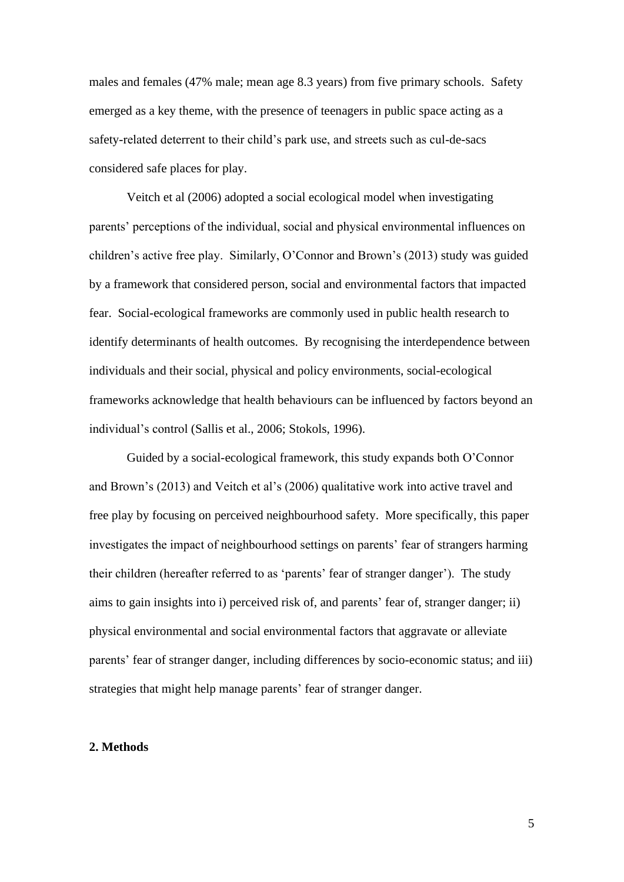males and females (47% male; mean age 8.3 years) from five primary schools. Safety emerged as a key theme, with the presence of teenagers in public space acting as a safety-related deterrent to their child's park use, and streets such as cul-de-sacs considered safe places for play.

Veitch et al (2006) adopted a social ecological model when investigating parents' perceptions of the individual, social and physical environmental influences on children's active free play. Similarly, O'Connor and Brown's (2013) study was guided by a framework that considered person, social and environmental factors that impacted fear. Social-ecological frameworks are commonly used in public health research to identify determinants of health outcomes. By recognising the interdependence between individuals and their social, physical and policy environments, social-ecological frameworks acknowledge that health behaviours can be influenced by factors beyond an individual's control [\(Sallis et al., 2006;](#page-29-4) [Stokols, 1996\)](#page-30-3).

Guided by a social-ecological framework, this study expands both O'Connor and Brown's (2013) and Veitch et al's (2006) qualitative work into active travel and free play by focusing on perceived neighbourhood safety. More specifically, this paper investigates the impact of neighbourhood settings on parents' fear of strangers harming their children (hereafter referred to as 'parents' fear of stranger danger'). The study aims to gain insights into i) perceived risk of, and parents' fear of, stranger danger; ii) physical environmental and social environmental factors that aggravate or alleviate parents' fear of stranger danger, including differences by socio-economic status; and iii) strategies that might help manage parents' fear of stranger danger.

#### **2. Methods**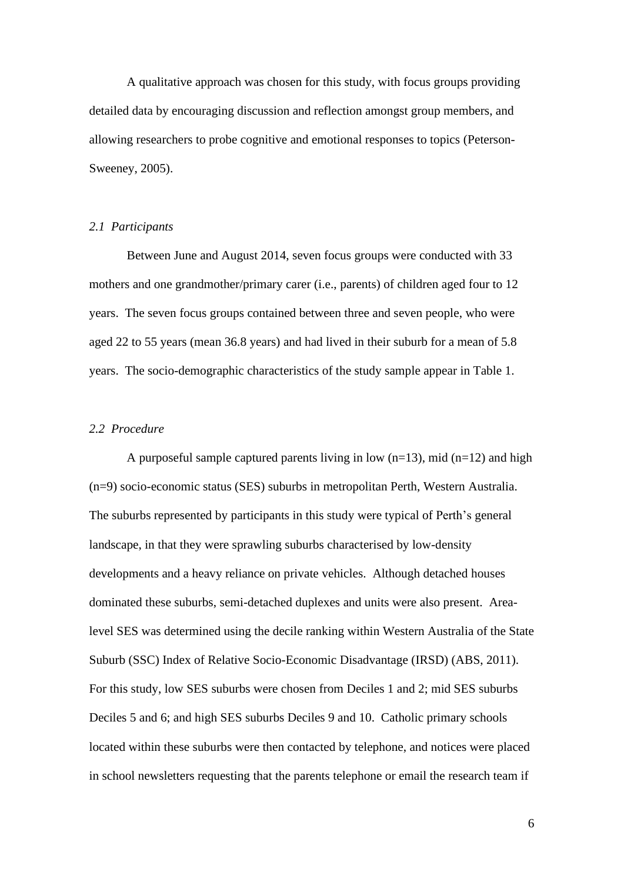A qualitative approach was chosen for this study, with focus groups providing detailed data by encouraging discussion and reflection amongst group members, and allowing researchers to probe cognitive and emotional responses to topics [\(Peterson-](#page-29-5)[Sweeney, 2005\)](#page-29-5).

#### *2.1 Participants*

Between June and August 2014, seven focus groups were conducted with 33 mothers and one grandmother/primary carer (i.e., parents) of children aged four to 12 years. The seven focus groups contained between three and seven people, who were aged 22 to 55 years (mean 36.8 years) and had lived in their suburb for a mean of 5.8 years. The socio-demographic characteristics of the study sample appear in Table 1.

### *2.2 Procedure*

A purposeful sample captured parents living in low  $(n=13)$ , mid  $(n=12)$  and high (n=9) socio-economic status (SES) suburbs in metropolitan Perth, Western Australia. The suburbs represented by participants in this study were typical of Perth's general landscape, in that they were sprawling suburbs characterised by low-density developments and a heavy reliance on private vehicles. Although detached houses dominated these suburbs, semi-detached duplexes and units were also present. Arealevel SES was determined using the decile ranking within Western Australia of the State Suburb (SSC) Index of Relative Socio-Economic Disadvantage (IRSD) (ABS, 2011). For this study, low SES suburbs were chosen from Deciles 1 and 2; mid SES suburbs Deciles 5 and 6; and high SES suburbs Deciles 9 and 10. Catholic primary schools located within these suburbs were then contacted by telephone, and notices were placed in school newsletters requesting that the parents telephone or email the research team if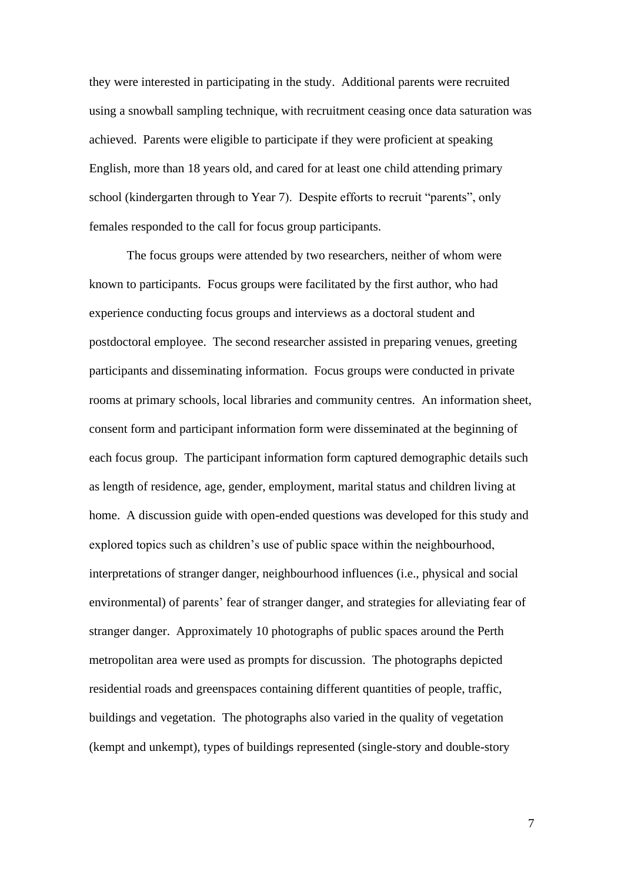they were interested in participating in the study. Additional parents were recruited using a snowball sampling technique, with recruitment ceasing once data saturation was achieved. Parents were eligible to participate if they were proficient at speaking English, more than 18 years old, and cared for at least one child attending primary school (kindergarten through to Year 7). Despite efforts to recruit "parents", only females responded to the call for focus group participants.

The focus groups were attended by two researchers, neither of whom were known to participants. Focus groups were facilitated by the first author, who had experience conducting focus groups and interviews as a doctoral student and postdoctoral employee. The second researcher assisted in preparing venues, greeting participants and disseminating information. Focus groups were conducted in private rooms at primary schools, local libraries and community centres. An information sheet, consent form and participant information form were disseminated at the beginning of each focus group. The participant information form captured demographic details such as length of residence, age, gender, employment, marital status and children living at home. A discussion guide with open-ended questions was developed for this study and explored topics such as children's use of public space within the neighbourhood, interpretations of stranger danger, neighbourhood influences (i.e., physical and social environmental) of parents' fear of stranger danger, and strategies for alleviating fear of stranger danger. Approximately 10 photographs of public spaces around the Perth metropolitan area were used as prompts for discussion. The photographs depicted residential roads and greenspaces containing different quantities of people, traffic, buildings and vegetation. The photographs also varied in the quality of vegetation (kempt and unkempt), types of buildings represented (single-story and double-story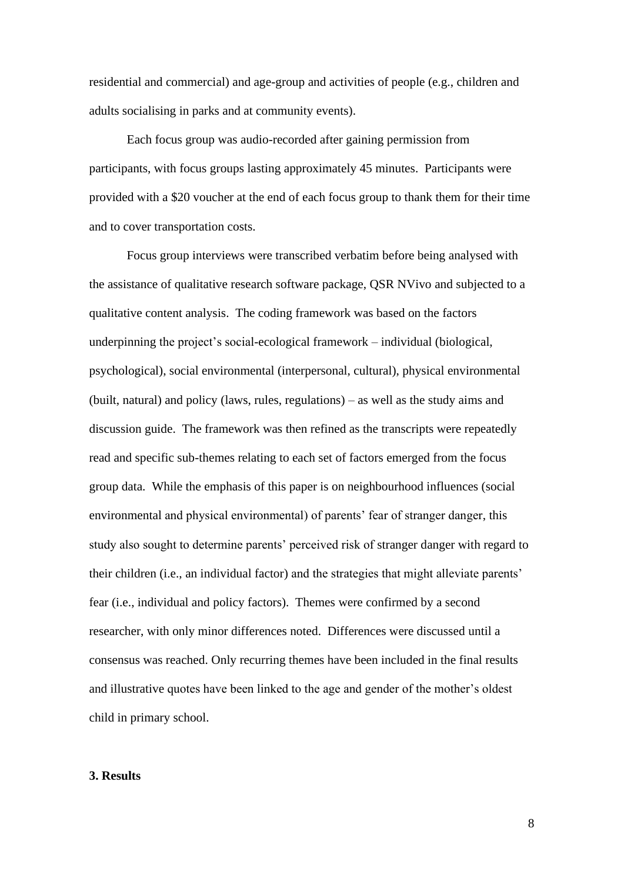residential and commercial) and age-group and activities of people (e.g., children and adults socialising in parks and at community events).

Each focus group was audio-recorded after gaining permission from participants, with focus groups lasting approximately 45 minutes. Participants were provided with a \$20 voucher at the end of each focus group to thank them for their time and to cover transportation costs.

Focus group interviews were transcribed verbatim before being analysed with the assistance of qualitative research software package, QSR NVivo and subjected to a qualitative content analysis. The coding framework was based on the factors underpinning the project's social-ecological framework – individual (biological, psychological), social environmental (interpersonal, cultural), physical environmental (built, natural) and policy (laws, rules, regulations) – as well as the study aims and discussion guide. The framework was then refined as the transcripts were repeatedly read and specific sub-themes relating to each set of factors emerged from the focus group data. While the emphasis of this paper is on neighbourhood influences (social environmental and physical environmental) of parents' fear of stranger danger, this study also sought to determine parents' perceived risk of stranger danger with regard to their children (i.e., an individual factor) and the strategies that might alleviate parents' fear (i.e., individual and policy factors).Themes were confirmed by a second researcher, with only minor differences noted. Differences were discussed until a consensus was reached. Only recurring themes have been included in the final results and illustrative quotes have been linked to the age and gender of the mother's oldest child in primary school.

#### **3. Results**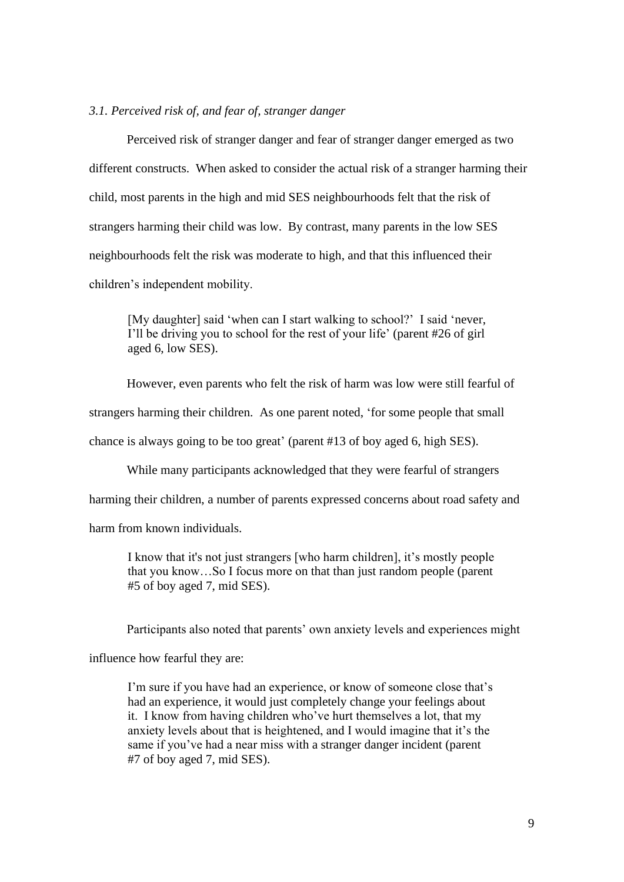# *3.1. Perceived risk of, and fear of, stranger danger*

Perceived risk of stranger danger and fear of stranger danger emerged as two different constructs. When asked to consider the actual risk of a stranger harming their child, most parents in the high and mid SES neighbourhoods felt that the risk of strangers harming their child was low. By contrast, many parents in the low SES neighbourhoods felt the risk was moderate to high, and that this influenced their children's independent mobility.

[My daughter] said 'when can I start walking to school?' I said 'never, I'll be driving you to school for the rest of your life' (parent #26 of girl aged 6, low SES).

However, even parents who felt the risk of harm was low were still fearful of

strangers harming their children. As one parent noted, 'for some people that small

chance is always going to be too great' (parent #13 of boy aged 6, high SES).

While many participants acknowledged that they were fearful of strangers

harming their children, a number of parents expressed concerns about road safety and

harm from known individuals.

I know that it's not just strangers [who harm children], it's mostly people that you know…So I focus more on that than just random people (parent #5 of boy aged 7, mid SES).

Participants also noted that parents' own anxiety levels and experiences might

influence how fearful they are:

I'm sure if you have had an experience, or know of someone close that's had an experience, it would just completely change your feelings about it. I know from having children who've hurt themselves a lot, that my anxiety levels about that is heightened, and I would imagine that it's the same if you've had a near miss with a stranger danger incident (parent #7 of boy aged 7, mid SES).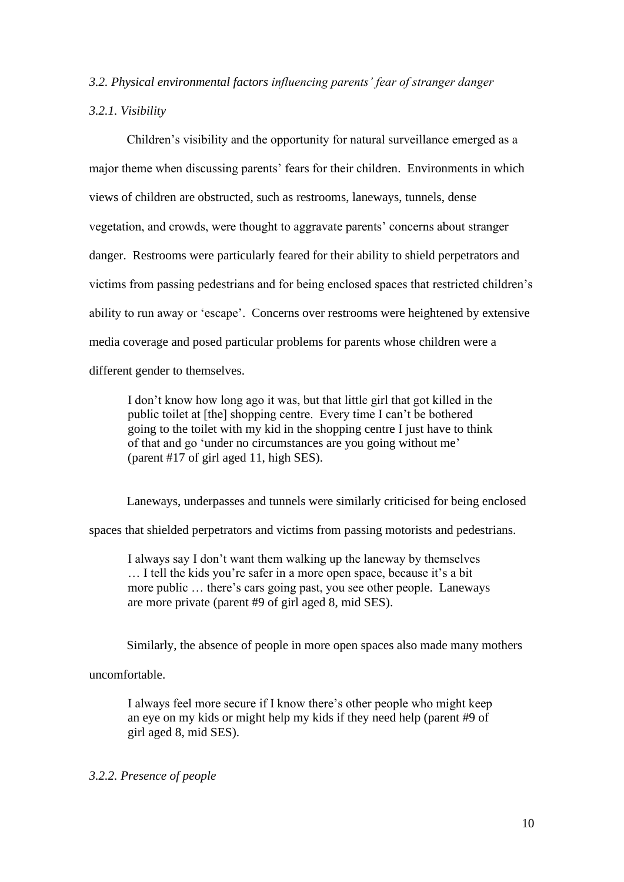## *3.2. Physical environmental factors influencing parents' fear of stranger danger*

## *3.2.1. Visibility*

Children's visibility and the opportunity for natural surveillance emerged as a major theme when discussing parents' fears for their children. Environments in which views of children are obstructed, such as restrooms, laneways, tunnels, dense vegetation, and crowds, were thought to aggravate parents' concerns about stranger danger. Restrooms were particularly feared for their ability to shield perpetrators and victims from passing pedestrians and for being enclosed spaces that restricted children's ability to run away or 'escape'. Concerns over restrooms were heightened by extensive media coverage and posed particular problems for parents whose children were a different gender to themselves.

I don't know how long ago it was, but that little girl that got killed in the public toilet at [the] shopping centre. Every time I can't be bothered going to the toilet with my kid in the shopping centre I just have to think of that and go 'under no circumstances are you going without me' (parent #17 of girl aged 11, high SES).

Laneways, underpasses and tunnels were similarly criticised for being enclosed

spaces that shielded perpetrators and victims from passing motorists and pedestrians.

I always say I don't want them walking up the laneway by themselves … I tell the kids you're safer in a more open space, because it's a bit more public … there's cars going past, you see other people. Laneways are more private (parent #9 of girl aged 8, mid SES).

Similarly, the absence of people in more open spaces also made many mothers

uncomfortable.

I always feel more secure if I know there's other people who might keep an eye on my kids or might help my kids if they need help (parent #9 of girl aged 8, mid SES).

# *3.2.2. Presence of people*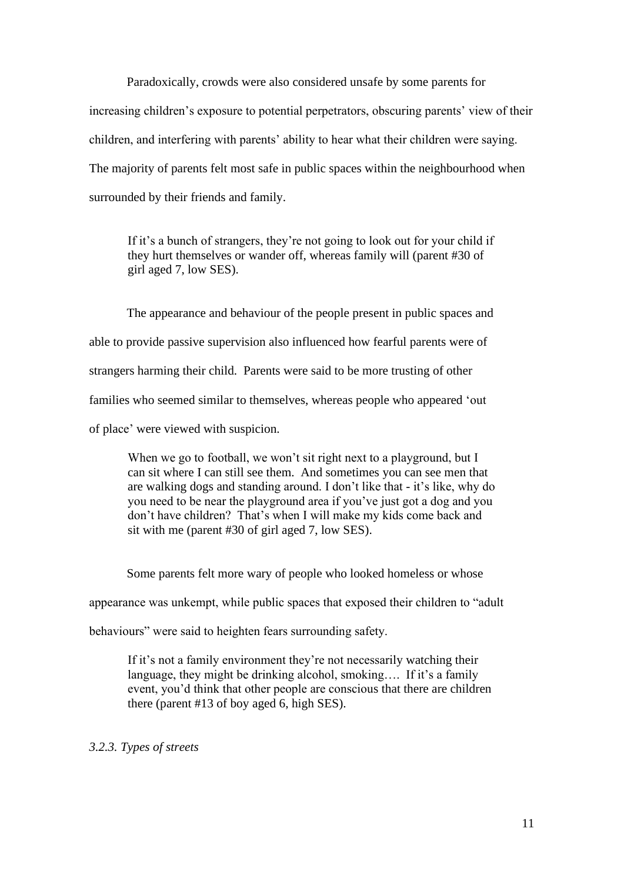Paradoxically, crowds were also considered unsafe by some parents for increasing children's exposure to potential perpetrators, obscuring parents' view of their children, and interfering with parents' ability to hear what their children were saying. The majority of parents felt most safe in public spaces within the neighbourhood when surrounded by their friends and family.

If it's a bunch of strangers, they're not going to look out for your child if they hurt themselves or wander off, whereas family will (parent #30 of girl aged 7, low SES).

The appearance and behaviour of the people present in public spaces and able to provide passive supervision also influenced how fearful parents were of strangers harming their child. Parents were said to be more trusting of other families who seemed similar to themselves, whereas people who appeared 'out of place' were viewed with suspicion.

When we go to football, we won't sit right next to a playground, but I can sit where I can still see them. And sometimes you can see men that are walking dogs and standing around. I don't like that - it's like, why do you need to be near the playground area if you've just got a dog and you don't have children? That's when I will make my kids come back and sit with me (parent #30 of girl aged 7, low SES).

Some parents felt more wary of people who looked homeless or whose

appearance was unkempt, while public spaces that exposed their children to "adult

behaviours" were said to heighten fears surrounding safety.

If it's not a family environment they're not necessarily watching their language, they might be drinking alcohol, smoking…. If it's a family event, you'd think that other people are conscious that there are children there (parent #13 of boy aged 6, high SES).

*3.2.3. Types of streets*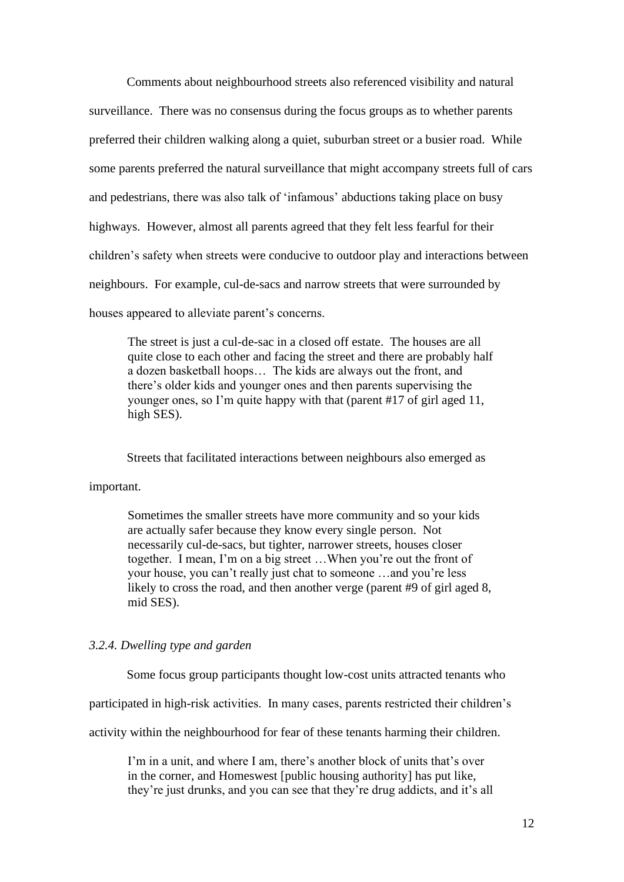Comments about neighbourhood streets also referenced visibility and natural surveillance. There was no consensus during the focus groups as to whether parents preferred their children walking along a quiet, suburban street or a busier road. While some parents preferred the natural surveillance that might accompany streets full of cars and pedestrians, there was also talk of 'infamous' abductions taking place on busy highways. However, almost all parents agreed that they felt less fearful for their children's safety when streets were conducive to outdoor play and interactions between neighbours. For example, cul-de-sacs and narrow streets that were surrounded by houses appeared to alleviate parent's concerns.

The street is just a cul-de-sac in a closed off estate. The houses are all quite close to each other and facing the street and there are probably half a dozen basketball hoops… The kids are always out the front, and there's older kids and younger ones and then parents supervising the younger ones, so I'm quite happy with that (parent #17 of girl aged 11, high SES).

Streets that facilitated interactions between neighbours also emerged as

### important.

Sometimes the smaller streets have more community and so your kids are actually safer because they know every single person. Not necessarily cul-de-sacs, but tighter, narrower streets, houses closer together. I mean, I'm on a big street …When you're out the front of your house, you can't really just chat to someone …and you're less likely to cross the road, and then another verge (parent #9 of girl aged 8, mid SES).

# *3.2.4. Dwelling type and garden*

Some focus group participants thought low-cost units attracted tenants who

participated in high-risk activities. In many cases, parents restricted their children's

activity within the neighbourhood for fear of these tenants harming their children.

I'm in a unit, and where I am, there's another block of units that's over in the corner, and Homeswest [public housing authority] has put like, they're just drunks, and you can see that they're drug addicts, and it's all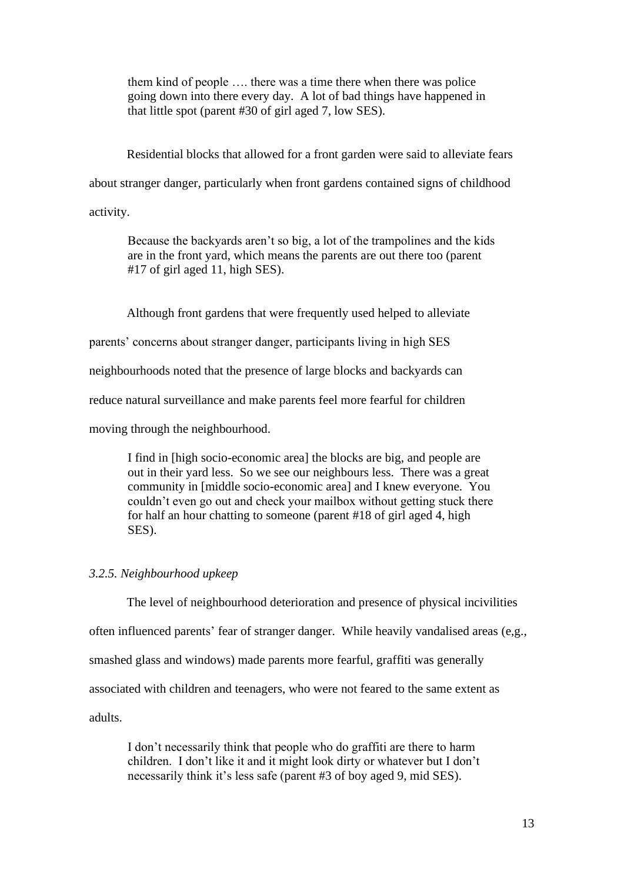them kind of people …. there was a time there when there was police going down into there every day. A lot of bad things have happened in that little spot (parent #30 of girl aged 7, low SES).

Residential blocks that allowed for a front garden were said to alleviate fears about stranger danger, particularly when front gardens contained signs of childhood activity.

Because the backyards aren't so big, a lot of the trampolines and the kids are in the front yard, which means the parents are out there too (parent #17 of girl aged 11, high SES).

Although front gardens that were frequently used helped to alleviate

parents' concerns about stranger danger, participants living in high SES

neighbourhoods noted that the presence of large blocks and backyards can

reduce natural surveillance and make parents feel more fearful for children

moving through the neighbourhood.

I find in [high socio-economic area] the blocks are big, and people are out in their yard less. So we see our neighbours less. There was a great community in [middle socio-economic area] and I knew everyone. You couldn't even go out and check your mailbox without getting stuck there for half an hour chatting to someone (parent #18 of girl aged 4, high SES).

# *3.2.5. Neighbourhood upkeep*

The level of neighbourhood deterioration and presence of physical incivilities often influenced parents' fear of stranger danger. While heavily vandalised areas (e,g., smashed glass and windows) made parents more fearful, graffiti was generally associated with children and teenagers, who were not feared to the same extent as adults.

I don't necessarily think that people who do graffiti are there to harm children. I don't like it and it might look dirty or whatever but I don't necessarily think it's less safe (parent #3 of boy aged 9, mid SES).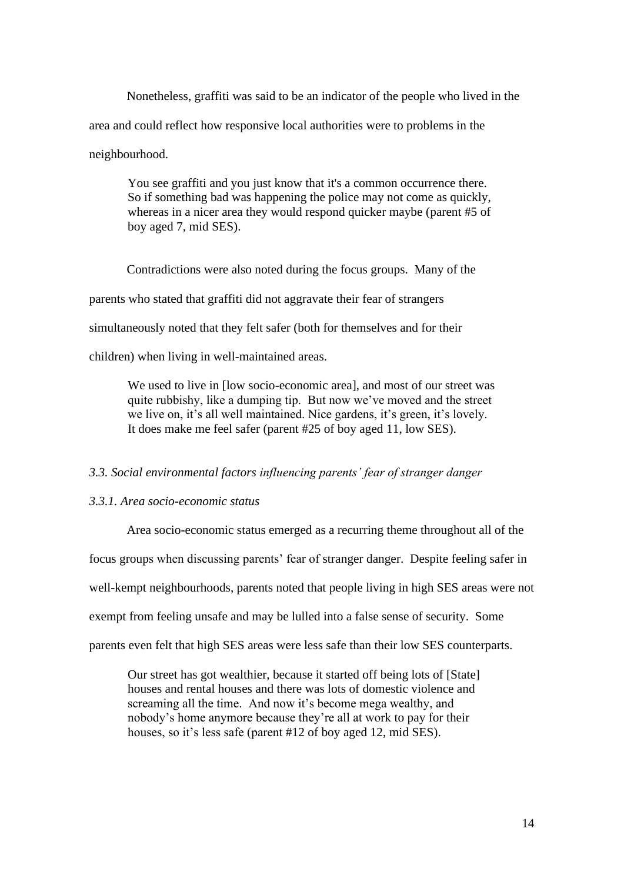Nonetheless, graffiti was said to be an indicator of the people who lived in the area and could reflect how responsive local authorities were to problems in the neighbourhood.

You see graffiti and you just know that it's a common occurrence there. So if something bad was happening the police may not come as quickly, whereas in a nicer area they would respond quicker maybe (parent #5 of boy aged 7, mid SES).

Contradictions were also noted during the focus groups. Many of the parents who stated that graffiti did not aggravate their fear of strangers simultaneously noted that they felt safer (both for themselves and for their children) when living in well-maintained areas.

We used to live in [low socio-economic area], and most of our street was quite rubbishy, like a dumping tip. But now we've moved and the street we live on, it's all well maintained. Nice gardens, it's green, it's lovely. It does make me feel safer (parent #25 of boy aged 11, low SES).

## *3.3. Social environmental factors influencing parents' fear of stranger danger*

# *3.3.1. Area socio-economic status*

Area socio-economic status emerged as a recurring theme throughout all of the focus groups when discussing parents' fear of stranger danger. Despite feeling safer in well-kempt neighbourhoods, parents noted that people living in high SES areas were not exempt from feeling unsafe and may be lulled into a false sense of security. Some parents even felt that high SES areas were less safe than their low SES counterparts.

Our street has got wealthier, because it started off being lots of [State] houses and rental houses and there was lots of domestic violence and screaming all the time. And now it's become mega wealthy, and nobody's home anymore because they're all at work to pay for their houses, so it's less safe (parent #12 of boy aged 12, mid SES).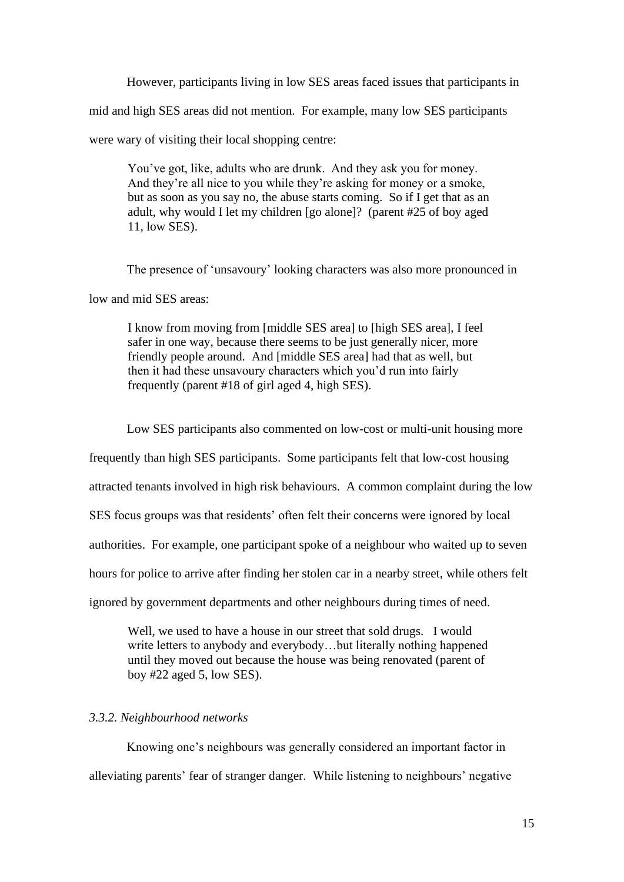However, participants living in low SES areas faced issues that participants in mid and high SES areas did not mention. For example, many low SES participants were wary of visiting their local shopping centre:

You've got, like, adults who are drunk. And they ask you for money. And they're all nice to you while they're asking for money or a smoke, but as soon as you say no, the abuse starts coming. So if I get that as an adult, why would I let my children [go alone]? (parent #25 of boy aged 11, low SES).

The presence of 'unsavoury' looking characters was also more pronounced in

low and mid SES areas:

I know from moving from [middle SES area] to [high SES area], I feel safer in one way, because there seems to be just generally nicer, more friendly people around. And [middle SES area] had that as well, but then it had these unsavoury characters which you'd run into fairly frequently (parent #18 of girl aged 4, high SES).

Low SES participants also commented on low-cost or multi-unit housing more

frequently than high SES participants. Some participants felt that low-cost housing

attracted tenants involved in high risk behaviours. A common complaint during the low

SES focus groups was that residents' often felt their concerns were ignored by local

authorities. For example, one participant spoke of a neighbour who waited up to seven

hours for police to arrive after finding her stolen car in a nearby street, while others felt

ignored by government departments and other neighbours during times of need.

Well, we used to have a house in our street that sold drugs. I would write letters to anybody and everybody…but literally nothing happened until they moved out because the house was being renovated (parent of boy #22 aged 5, low SES).

# *3.3.2. Neighbourhood networks*

Knowing one's neighbours was generally considered an important factor in alleviating parents' fear of stranger danger. While listening to neighbours' negative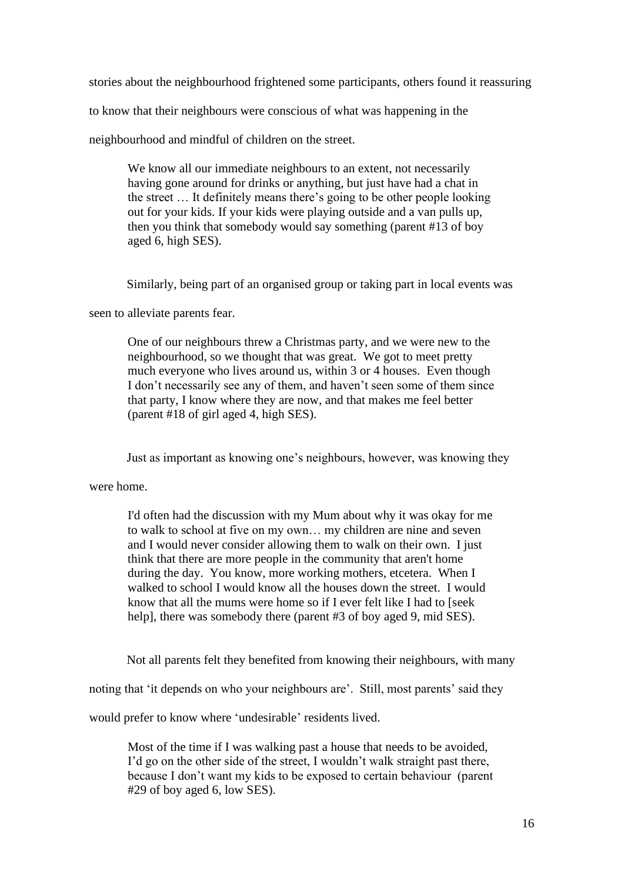stories about the neighbourhood frightened some participants, others found it reassuring

to know that their neighbours were conscious of what was happening in the

neighbourhood and mindful of children on the street.

We know all our immediate neighbours to an extent, not necessarily having gone around for drinks or anything, but just have had a chat in the street … It definitely means there's going to be other people looking out for your kids. If your kids were playing outside and a van pulls up, then you think that somebody would say something (parent #13 of boy aged 6, high SES).

Similarly, being part of an organised group or taking part in local events was

seen to alleviate parents fear.

One of our neighbours threw a Christmas party, and we were new to the neighbourhood, so we thought that was great. We got to meet pretty much everyone who lives around us, within 3 or 4 houses. Even though I don't necessarily see any of them, and haven't seen some of them since that party, I know where they are now, and that makes me feel better (parent #18 of girl aged 4, high SES).

Just as important as knowing one's neighbours, however, was knowing they

were home.

I'd often had the discussion with my Mum about why it was okay for me to walk to school at five on my own… my children are nine and seven and I would never consider allowing them to walk on their own. I just think that there are more people in the community that aren't home during the day. You know, more working mothers, etcetera. When I walked to school I would know all the houses down the street. I would know that all the mums were home so if I ever felt like I had to [seek] help], there was somebody there (parent #3 of boy aged 9, mid SES).

Not all parents felt they benefited from knowing their neighbours, with many

noting that 'it depends on who your neighbours are'. Still, most parents' said they

would prefer to know where 'undesirable' residents lived.

Most of the time if I was walking past a house that needs to be avoided, I'd go on the other side of the street, I wouldn't walk straight past there, because I don't want my kids to be exposed to certain behaviour (parent #29 of boy aged 6, low SES).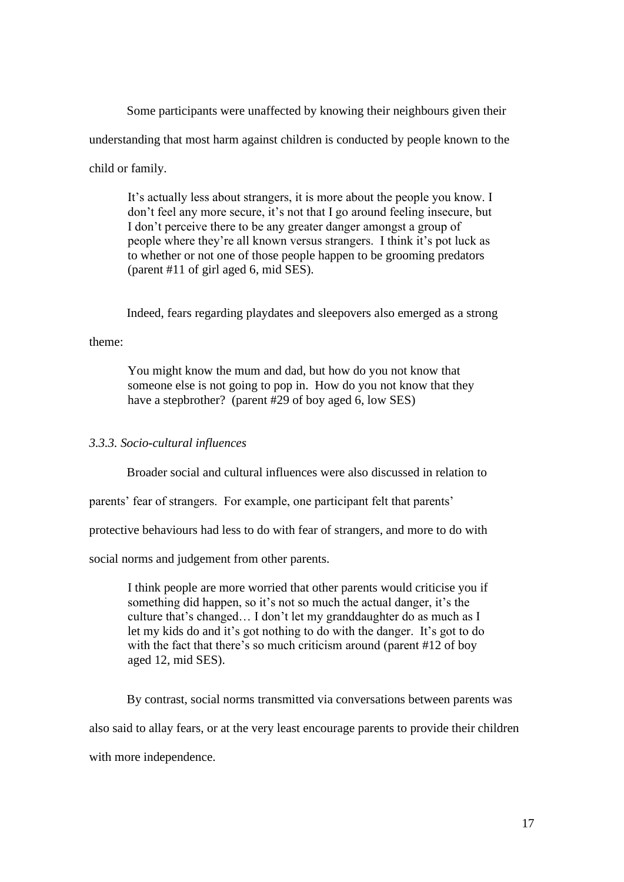Some participants were unaffected by knowing their neighbours given their understanding that most harm against children is conducted by people known to the child or family.

It's actually less about strangers, it is more about the people you know. I don't feel any more secure, it's not that I go around feeling insecure, but I don't perceive there to be any greater danger amongst a group of people where they're all known versus strangers. I think it's pot luck as to whether or not one of those people happen to be grooming predators (parent #11 of girl aged 6, mid SES).

Indeed, fears regarding playdates and sleepovers also emerged as a strong

## theme:

You might know the mum and dad, but how do you not know that someone else is not going to pop in. How do you not know that they have a stepbrother? (parent #29 of boy aged 6, low SES)

# *3.3.3. Socio-cultural influences*

Broader social and cultural influences were also discussed in relation to

parents' fear of strangers. For example, one participant felt that parents'

protective behaviours had less to do with fear of strangers, and more to do with

social norms and judgement from other parents.

I think people are more worried that other parents would criticise you if something did happen, so it's not so much the actual danger, it's the culture that's changed… I don't let my granddaughter do as much as I let my kids do and it's got nothing to do with the danger. It's got to do with the fact that there's so much criticism around (parent #12 of boy aged 12, mid SES).

By contrast, social norms transmitted via conversations between parents was also said to allay fears, or at the very least encourage parents to provide their children with more independence.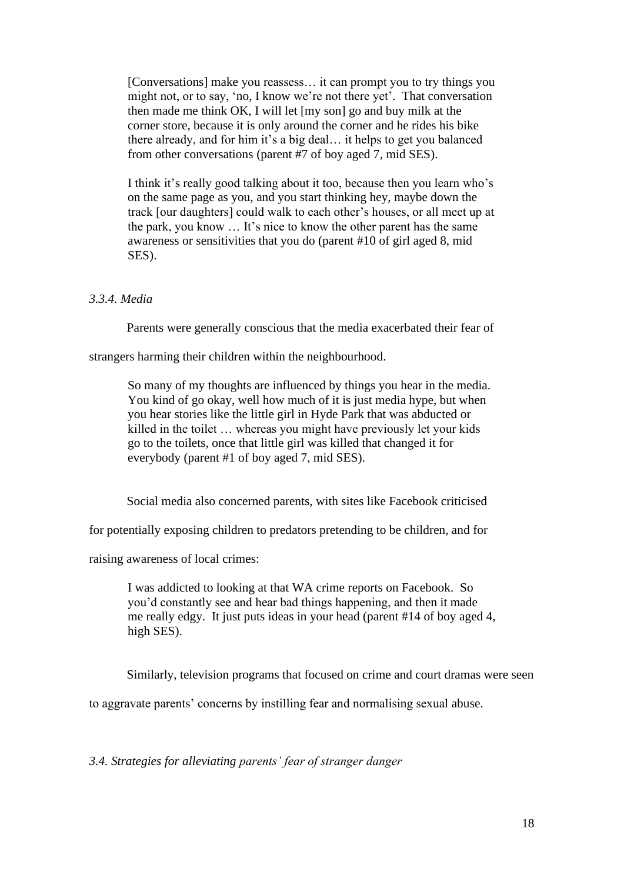[Conversations] make you reassess… it can prompt you to try things you might not, or to say, 'no, I know we're not there yet'. That conversation then made me think OK, I will let [my son] go and buy milk at the corner store, because it is only around the corner and he rides his bike there already, and for him it's a big deal… it helps to get you balanced from other conversations (parent #7 of boy aged 7, mid SES).

I think it's really good talking about it too, because then you learn who's on the same page as you, and you start thinking hey, maybe down the track [our daughters] could walk to each other's houses, or all meet up at the park, you know … It's nice to know the other parent has the same awareness or sensitivities that you do (parent #10 of girl aged 8, mid SES).

# *3.3.4. Media*

Parents were generally conscious that the media exacerbated their fear of

strangers harming their children within the neighbourhood.

So many of my thoughts are influenced by things you hear in the media. You kind of go okay, well how much of it is just media hype, but when you hear stories like the little girl in Hyde Park that was abducted or killed in the toilet … whereas you might have previously let your kids go to the toilets, once that little girl was killed that changed it for everybody (parent #1 of boy aged 7, mid SES).

Social media also concerned parents, with sites like Facebook criticised

for potentially exposing children to predators pretending to be children, and for

raising awareness of local crimes:

I was addicted to looking at that WA crime reports on Facebook. So you'd constantly see and hear bad things happening, and then it made me really edgy. It just puts ideas in your head (parent #14 of boy aged 4, high SES).

Similarly, television programs that focused on crime and court dramas were seen

to aggravate parents' concerns by instilling fear and normalising sexual abuse.

*3.4. Strategies for alleviating parents' fear of stranger danger*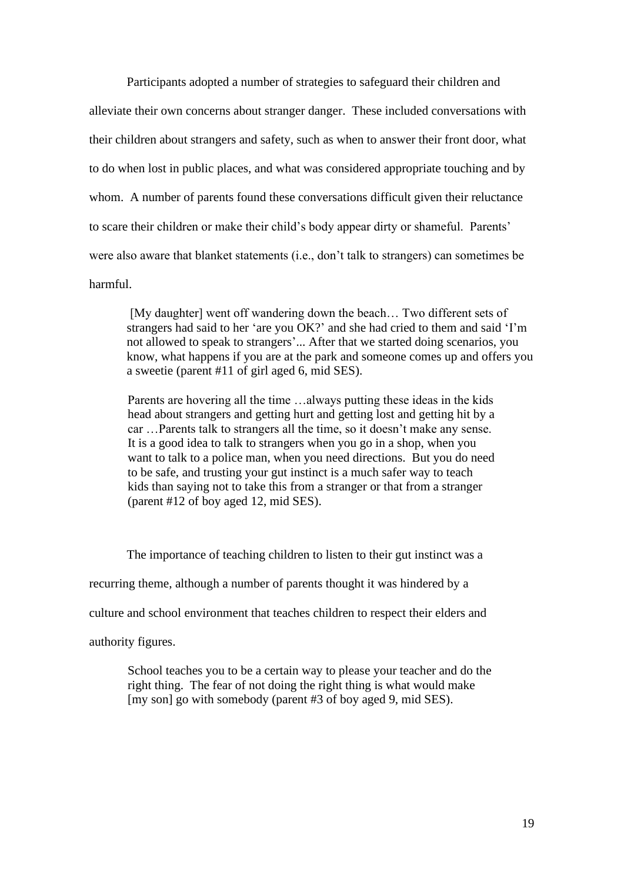Participants adopted a number of strategies to safeguard their children and alleviate their own concerns about stranger danger. These included conversations with their children about strangers and safety, such as when to answer their front door, what to do when lost in public places, and what was considered appropriate touching and by whom. A number of parents found these conversations difficult given their reluctance to scare their children or make their child's body appear dirty or shameful. Parents' were also aware that blanket statements (i.e., don't talk to strangers) can sometimes be harmful.

[My daughter] went off wandering down the beach… Two different sets of strangers had said to her 'are you OK?' and she had cried to them and said 'I'm not allowed to speak to strangers'... After that we started doing scenarios, you know, what happens if you are at the park and someone comes up and offers you a sweetie (parent #11 of girl aged 6, mid SES).

Parents are hovering all the time …always putting these ideas in the kids head about strangers and getting hurt and getting lost and getting hit by a car …Parents talk to strangers all the time, so it doesn't make any sense. It is a good idea to talk to strangers when you go in a shop, when you want to talk to a police man, when you need directions. But you do need to be safe, and trusting your gut instinct is a much safer way to teach kids than saying not to take this from a stranger or that from a stranger (parent #12 of boy aged 12, mid SES).

The importance of teaching children to listen to their gut instinct was a recurring theme, although a number of parents thought it was hindered by a culture and school environment that teaches children to respect their elders and authority figures.

School teaches you to be a certain way to please your teacher and do the right thing. The fear of not doing the right thing is what would make [my son] go with somebody (parent #3 of boy aged 9, mid SES).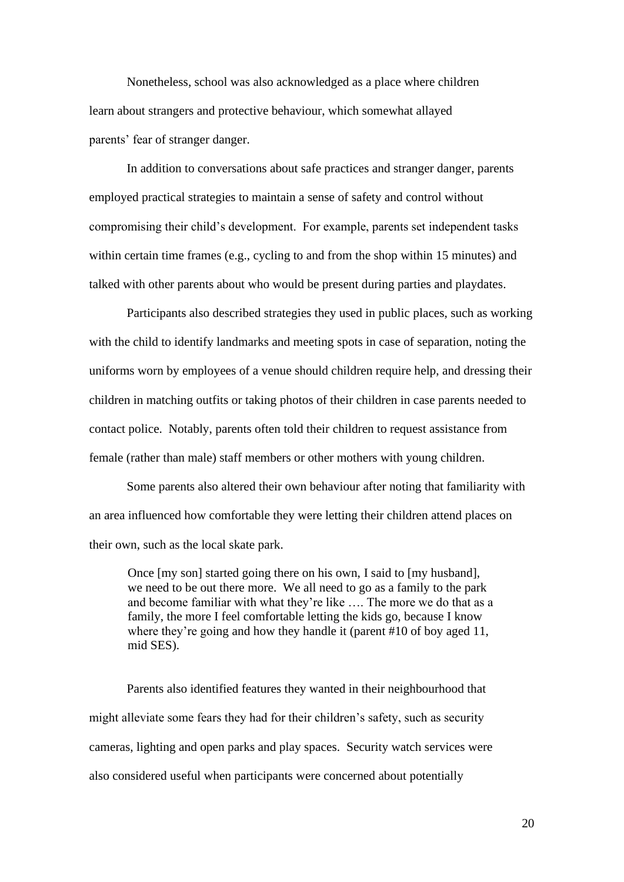Nonetheless, school was also acknowledged as a place where children learn about strangers and protective behaviour, which somewhat allayed parents' fear of stranger danger.

In addition to conversations about safe practices and stranger danger, parents employed practical strategies to maintain a sense of safety and control without compromising their child's development. For example, parents set independent tasks within certain time frames (e.g., cycling to and from the shop within 15 minutes) and talked with other parents about who would be present during parties and playdates.

Participants also described strategies they used in public places, such as working with the child to identify landmarks and meeting spots in case of separation, noting the uniforms worn by employees of a venue should children require help, and dressing their children in matching outfits or taking photos of their children in case parents needed to contact police. Notably, parents often told their children to request assistance from female (rather than male) staff members or other mothers with young children.

Some parents also altered their own behaviour after noting that familiarity with an area influenced how comfortable they were letting their children attend places on their own, such as the local skate park.

Once [my son] started going there on his own, I said to [my husband], we need to be out there more. We all need to go as a family to the park and become familiar with what they're like …. The more we do that as a family, the more I feel comfortable letting the kids go, because I know where they're going and how they handle it (parent #10 of boy aged 11, mid SES).

Parents also identified features they wanted in their neighbourhood that might alleviate some fears they had for their children's safety, such as security cameras, lighting and open parks and play spaces. Security watch services were also considered useful when participants were concerned about potentially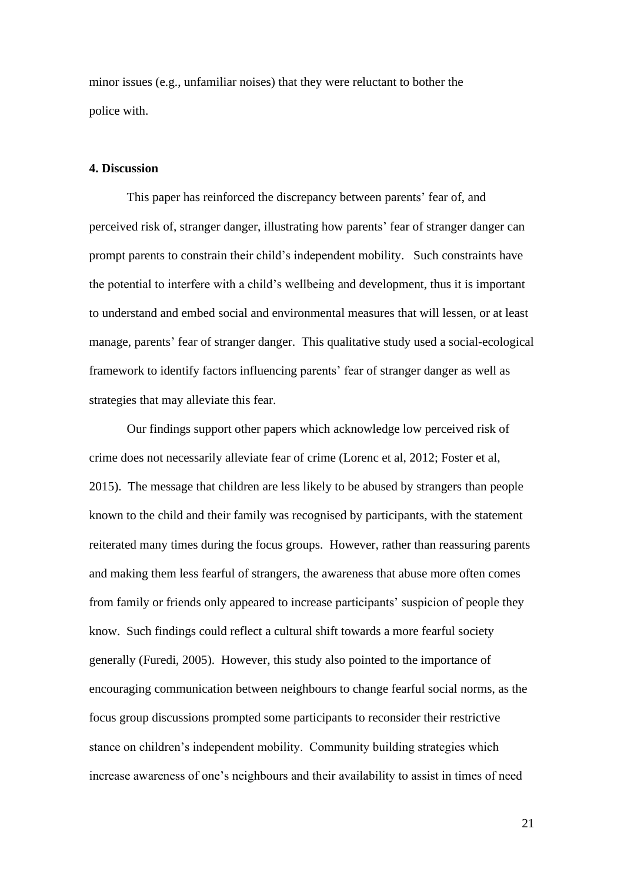minor issues (e.g., unfamiliar noises) that they were reluctant to bother the police with.

## **4. Discussion**

This paper has reinforced the discrepancy between parents' fear of, and perceived risk of, stranger danger, illustrating how parents' fear of stranger danger can prompt parents to constrain their child's independent mobility. Such constraints have the potential to interfere with a child's wellbeing and development, thus it is important to understand and embed social and environmental measures that will lessen, or at least manage, parents' fear of stranger danger. This qualitative study used a social-ecological framework to identify factors influencing parents' fear of stranger danger as well as strategies that may alleviate this fear.

Our findings support other papers which acknowledge low perceived risk of crime does not necessarily alleviate fear of crime (Lorenc et al, 2012; Foster et al, 2015). The message that children are less likely to be abused by strangers than people known to the child and their family was recognised by participants, with the statement reiterated many times during the focus groups. However, rather than reassuring parents and making them less fearful of strangers, the awareness that abuse more often comes from family or friends only appeared to increase participants' suspicion of people they know. Such findings could reflect a cultural shift towards a more fearful society generally [\(Furedi, 2005\)](#page-27-5). However, this study also pointed to the importance of encouraging communication between neighbours to change fearful social norms, as the focus group discussions prompted some participants to reconsider their restrictive stance on children's independent mobility. Community building strategies which increase awareness of one's neighbours and their availability to assist in times of need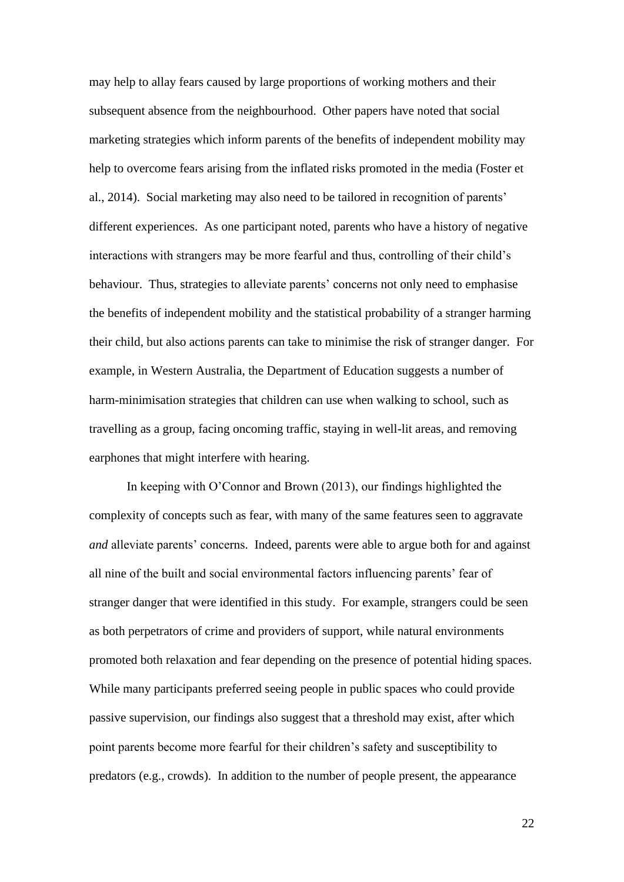may help to allay fears caused by large proportions of working mothers and their subsequent absence from the neighbourhood. Other papers have noted that social marketing strategies which inform parents of the benefits of independent mobility may help to overcome fears arising from the inflated risks promoted in the media [\(Foster et](#page-27-0)  [al., 2014\)](#page-27-0). Social marketing may also need to be tailored in recognition of parents' different experiences. As one participant noted, parents who have a history of negative interactions with strangers may be more fearful and thus, controlling of their child's behaviour. Thus, strategies to alleviate parents' concerns not only need to emphasise the benefits of independent mobility and the statistical probability of a stranger harming their child, but also actions parents can take to minimise the risk of stranger danger. For example, in Western Australia, the Department of Education suggests a number of harm-minimisation strategies that children can use when walking to school, such as travelling as a group, facing oncoming traffic, staying in well-lit areas, and removing earphones that might interfere with hearing.

In keeping with O'Connor and Brown (2013), our findings highlighted the complexity of concepts such as fear, with many of the same features seen to aggravate *and* alleviate parents' concerns. Indeed, parents were able to argue both for and against all nine of the built and social environmental factors influencing parents' fear of stranger danger that were identified in this study.For example, strangers could be seen as both perpetrators of crime and providers of support, while natural environments promoted both relaxation and fear depending on the presence of potential hiding spaces. While many participants preferred seeing people in public spaces who could provide passive supervision, our findings also suggest that a threshold may exist, after which point parents become more fearful for their children's safety and susceptibility to predators (e.g., crowds). In addition to the number of people present, the appearance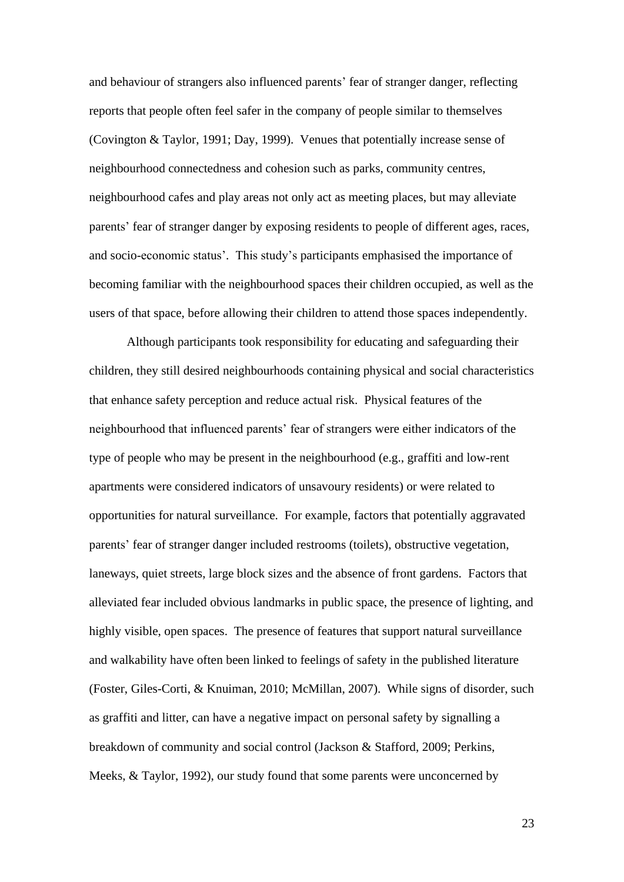and behaviour of strangers also influenced parents' fear of stranger danger, reflecting reports that people often feel safer in the company of people similar to themselves [\(Covington & Taylor, 1991;](#page-26-4) [Day, 1999\)](#page-26-5). Venues that potentially increase sense of neighbourhood connectedness and cohesion such as parks, community centres, neighbourhood cafes and play areas not only act as meeting places, but may alleviate parents' fear of stranger danger by exposing residents to people of different ages, races, and socio-economic status'. This study's participants emphasised the importance of becoming familiar with the neighbourhood spaces their children occupied, as well as the users of that space, before allowing their children to attend those spaces independently.

Although participants took responsibility for educating and safeguarding their children, they still desired neighbourhoods containing physical and social characteristics that enhance safety perception and reduce actual risk. Physical features of the neighbourhood that influenced parents' fear of strangers were either indicators of the type of people who may be present in the neighbourhood (e.g., graffiti and low-rent apartments were considered indicators of unsavoury residents) or were related to opportunities for natural surveillance. For example, factors that potentially aggravated parents' fear of stranger danger included restrooms (toilets), obstructive vegetation, laneways, quiet streets, large block sizes and the absence of front gardens. Factors that alleviated fear included obvious landmarks in public space, the presence of lighting, and highly visible, open spaces. The presence of features that support natural surveillance and walkability have often been linked to feelings of safety in the published literature [\(Foster, Giles-Corti, & Knuiman, 2010;](#page-27-6) [McMillan, 2007\)](#page-28-5). While signs of disorder, such as graffiti and litter, can have a negative impact on personal safety by signalling a breakdown of community and social control [\(Jackson & Stafford, 2009;](#page-27-7) [Perkins,](#page-29-6)  [Meeks, & Taylor, 1992\)](#page-29-6), our study found that some parents were unconcerned by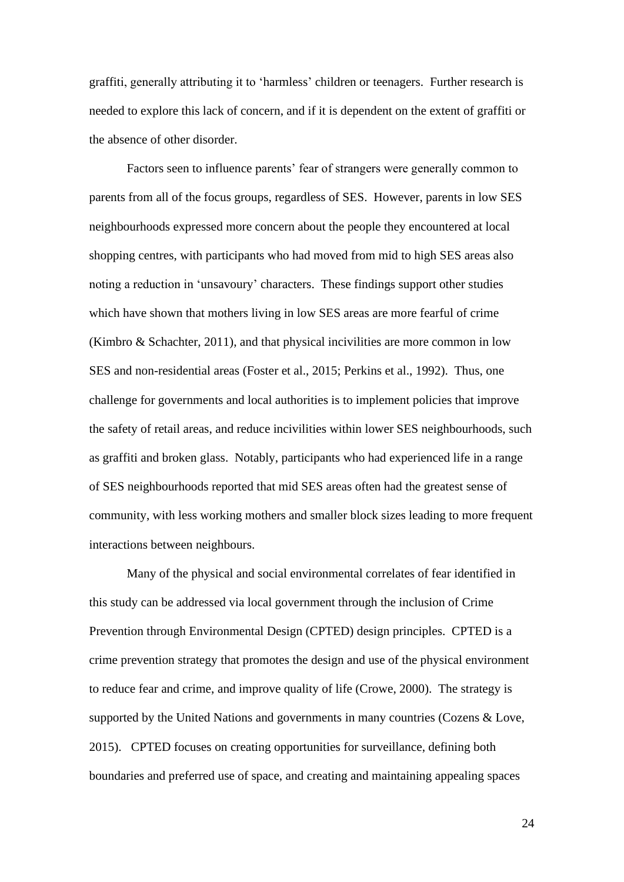graffiti, generally attributing it to 'harmless' children or teenagers. Further research is needed to explore this lack of concern, and if it is dependent on the extent of graffiti or the absence of other disorder.

Factors seen to influence parents' fear of strangers were generally common to parents from all of the focus groups, regardless of SES. However, parents in low SES neighbourhoods expressed more concern about the people they encountered at local shopping centres, with participants who had moved from mid to high SES areas also noting a reduction in 'unsavoury' characters. These findings support other studies which have shown that mothers living in low SES areas are more fearful of crime [\(Kimbro & Schachter, 2011\)](#page-28-6), and that physical incivilities are more common in low SES and non-residential areas [\(Foster et al., 2015;](#page-27-4) [Perkins et al., 1992\)](#page-29-6). Thus, one challenge for governments and local authorities is to implement policies that improve the safety of retail areas, and reduce incivilities within lower SES neighbourhoods, such as graffiti and broken glass. Notably, participants who had experienced life in a range of SES neighbourhoods reported that mid SES areas often had the greatest sense of community, with less working mothers and smaller block sizes leading to more frequent interactions between neighbours.

Many of the physical and social environmental correlates of fear identified in this study can be addressed via local government through the inclusion of Crime Prevention through Environmental Design (CPTED) design principles. CPTED is a crime prevention strategy that promotes the design and use of the physical environment to reduce fear and crime, and improve quality of life [\(Crowe, 2000\)](#page-26-6). The strategy is supported by the United Nations and governments in many countries (Cozens & Love, [2015\)](#page-26-7). CPTED focuses on creating opportunities for surveillance, defining both boundaries and preferred use of space, and creating and maintaining appealing spaces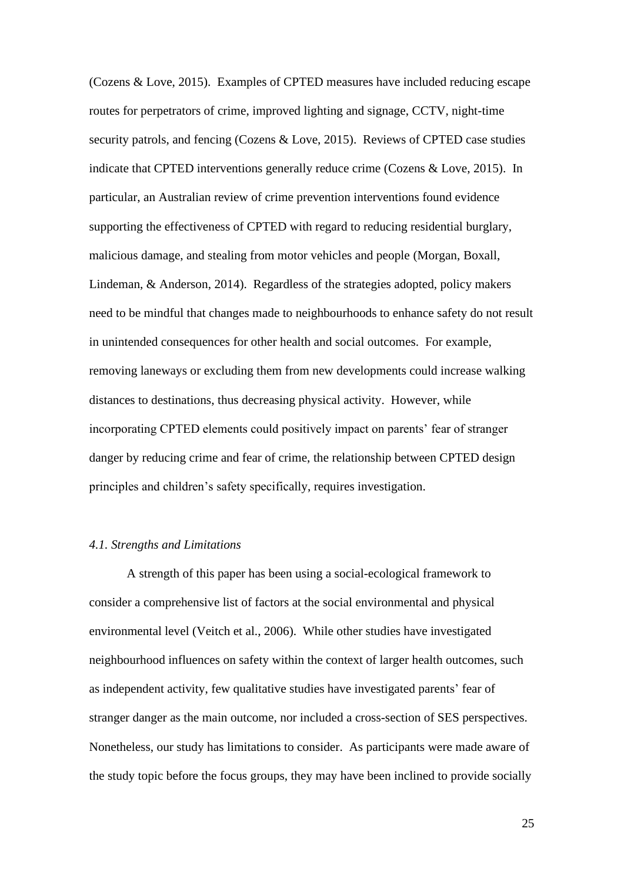[\(Cozens & Love, 2015\)](#page-26-7). Examples of CPTED measures have included reducing escape routes for perpetrators of crime, improved lighting and signage, CCTV, night-time security patrols, and fencing [\(Cozens & Love, 2015\)](#page-26-7). Reviews of CPTED case studies indicate that CPTED interventions generally reduce crime [\(Cozens & Love, 2015\)](#page-26-7). In particular, an Australian review of crime prevention interventions found evidence supporting the effectiveness of CPTED with regard to reducing residential burglary, malicious damage, and stealing from motor vehicles and people [\(Morgan, Boxall,](#page-28-7)  [Lindeman, & Anderson, 2014\)](#page-28-7). Regardless of the strategies adopted, policy makers need to be mindful that changes made to neighbourhoods to enhance safety do not result in unintended consequences for other health and social outcomes. For example, removing laneways or excluding them from new developments could increase walking distances to destinations, thus decreasing physical activity. However, while incorporating CPTED elements could positively impact on parents' fear of stranger danger by reducing crime and fear of crime, the relationship between CPTED design principles and children's safety specifically, requires investigation.

# *4.1. Strengths and Limitations*

A strength of this paper has been using a social-ecological framework to consider a comprehensive list of factors at the social environmental and physical environmental level [\(Veitch et al., 2006\)](#page-30-0). While other studies have investigated neighbourhood influences on safety within the context of larger health outcomes, such as independent activity, few qualitative studies have investigated parents' fear of stranger danger as the main outcome, nor included a cross-section of SES perspectives. Nonetheless, our study has limitations to consider. As participants were made aware of the study topic before the focus groups, they may have been inclined to provide socially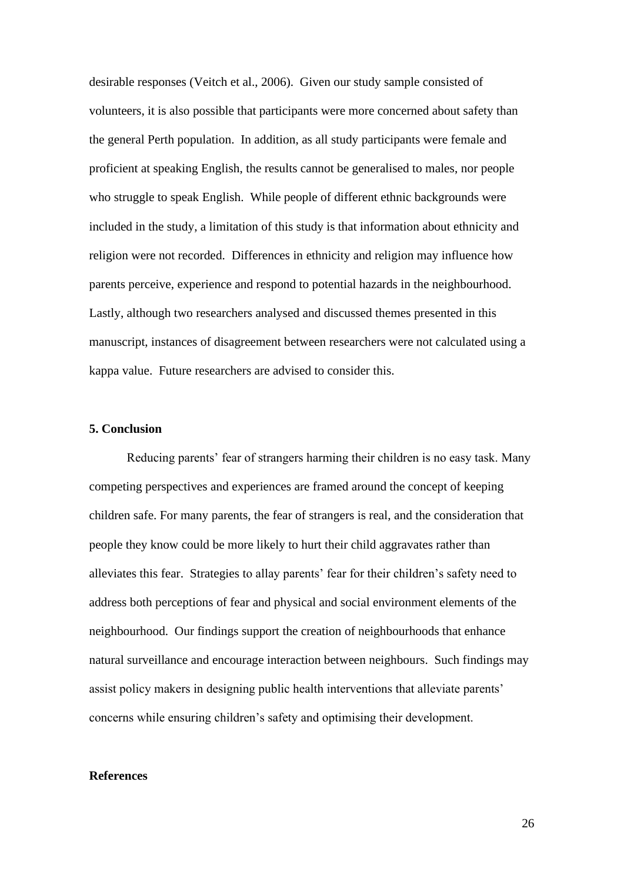desirable responses [\(Veitch et al., 2006\)](#page-30-0). Given our study sample consisted of volunteers, it is also possible that participants were more concerned about safety than the general Perth population. In addition, as all study participants were female and proficient at speaking English, the results cannot be generalised to males, nor people who struggle to speak English. While people of different ethnic backgrounds were included in the study, a limitation of this study is that information about ethnicity and religion were not recorded. Differences in ethnicity and religion may influence how parents perceive, experience and respond to potential hazards in the neighbourhood. Lastly, although two researchers analysed and discussed themes presented in this manuscript, instances of disagreement between researchers were not calculated using a kappa value. Future researchers are advised to consider this.

### **5. Conclusion**

Reducing parents' fear of strangers harming their children is no easy task. Many competing perspectives and experiences are framed around the concept of keeping children safe. For many parents, the fear of strangers is real, and the consideration that people they know could be more likely to hurt their child aggravates rather than alleviates this fear. Strategies to allay parents' fear for their children's safety need to address both perceptions of fear and physical and social environment elements of the neighbourhood. Our findings support the creation of neighbourhoods that enhance natural surveillance and encourage interaction between neighbours. Such findings may assist policy makers in designing public health interventions that alleviate parents' concerns while ensuring children's safety and optimising their development.

#### **References**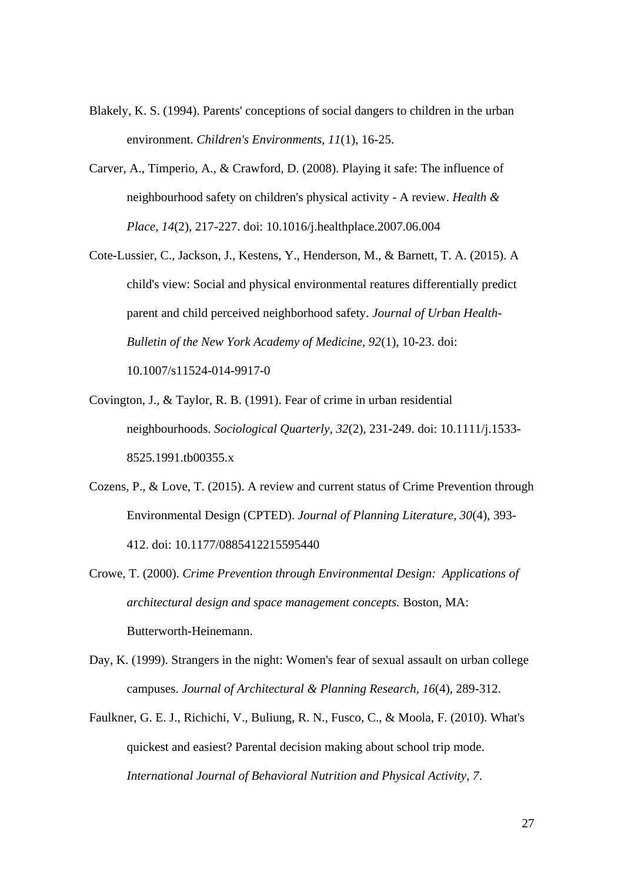- <span id="page-26-2"></span>Blakely, K. S. (1994). Parents' conceptions of social dangers to children in the urban environment. *Children's Environments, 11*(1), 16-25.
- <span id="page-26-1"></span>Carver, A., Timperio, A., & Crawford, D. (2008). Playing it safe: The influence of neighbourhood safety on children's physical activity - A review. *Health & Place, 14*(2), 217-227. doi: 10.1016/j.healthplace.2007.06.004
- <span id="page-26-3"></span>Cote-Lussier, C., Jackson, J., Kestens, Y., Henderson, M., & Barnett, T. A. (2015). A child's view: Social and physical environmental reatures differentially predict parent and child perceived neighborhood safety. *Journal of Urban Health-Bulletin of the New York Academy of Medicine, 92*(1), 10-23. doi: 10.1007/s11524-014-9917-0
- <span id="page-26-4"></span>Covington, J., & Taylor, R. B. (1991). Fear of crime in urban residential neighbourhoods. *Sociological Quarterly, 32*(2), 231-249. doi: 10.1111/j.1533- 8525.1991.tb00355.x
- <span id="page-26-7"></span>Cozens, P., & Love, T. (2015). A review and current status of Crime Prevention through Environmental Design (CPTED). *Journal of Planning Literature, 30*(4), 393- 412. doi: 10.1177/0885412215595440
- <span id="page-26-6"></span>Crowe, T. (2000). *Crime Prevention through Environmental Design: Applications of architectural design and space management concepts.* Boston, MA: Butterworth-Heinemann.
- <span id="page-26-5"></span>Day, K. (1999). Strangers in the night: Women's fear of sexual assault on urban college campuses. *Journal of Architectural & Planning Research, 16*(4), 289-312.
- <span id="page-26-0"></span>Faulkner, G. E. J., Richichi, V., Buliung, R. N., Fusco, C., & Moola, F. (2010). What's quickest and easiest? Parental decision making about school trip mode. *International Journal of Behavioral Nutrition and Physical Activity, 7*.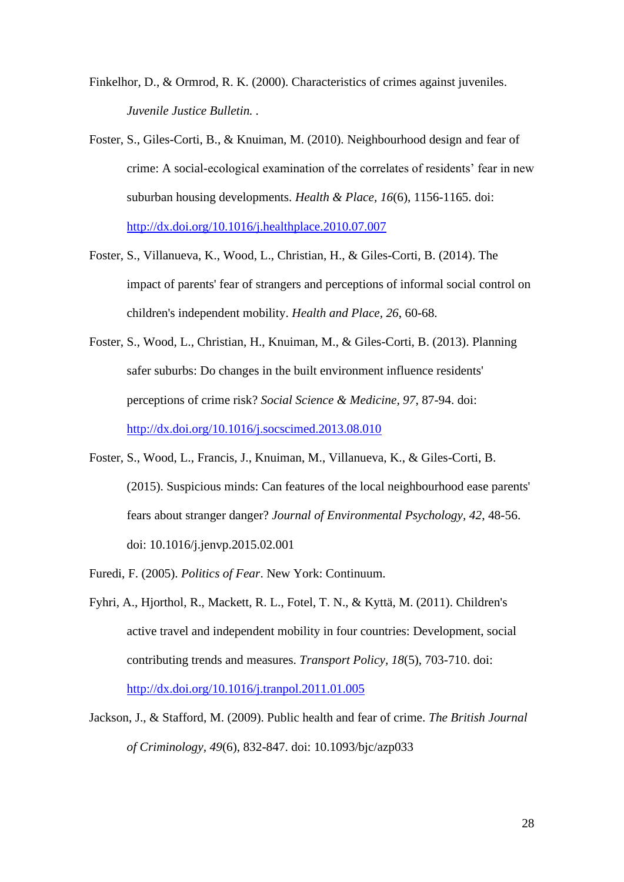<span id="page-27-1"></span>Finkelhor, D., & Ormrod, R. K. (2000). Characteristics of crimes against juveniles. *Juvenile Justice Bulletin. .*

- <span id="page-27-6"></span>Foster, S., Giles-Corti, B., & Knuiman, M. (2010). Neighbourhood design and fear of crime: A social-ecological examination of the correlates of residents' fear in new suburban housing developments. *Health & Place, 16*(6), 1156-1165. doi: <http://dx.doi.org/10.1016/j.healthplace.2010.07.007>
- <span id="page-27-0"></span>Foster, S., Villanueva, K., Wood, L., Christian, H., & Giles-Corti, B. (2014). The impact of parents' fear of strangers and perceptions of informal social control on children's independent mobility. *Health and Place, 26*, 60-68.
- <span id="page-27-3"></span>Foster, S., Wood, L., Christian, H., Knuiman, M., & Giles-Corti, B. (2013). Planning safer suburbs: Do changes in the built environment influence residents' perceptions of crime risk? *Social Science & Medicine, 97*, 87-94. doi: <http://dx.doi.org/10.1016/j.socscimed.2013.08.010>
- <span id="page-27-4"></span>Foster, S., Wood, L., Francis, J., Knuiman, M., Villanueva, K., & Giles-Corti, B. (2015). Suspicious minds: Can features of the local neighbourhood ease parents' fears about stranger danger? *Journal of Environmental Psychology, 42*, 48-56. doi: 10.1016/j.jenvp.2015.02.001
- <span id="page-27-5"></span>Furedi, F. (2005). *Politics of Fear*. New York: Continuum.
- <span id="page-27-2"></span>Fyhri, A., Hjorthol, R., Mackett, R. L., Fotel, T. N., & Kyttä, M. (2011). Children's active travel and independent mobility in four countries: Development, social contributing trends and measures. *Transport Policy, 18*(5), 703-710. doi: <http://dx.doi.org/10.1016/j.tranpol.2011.01.005>
- <span id="page-27-7"></span>Jackson, J., & Stafford, M. (2009). Public health and fear of crime. *The British Journal of Criminology, 49*(6), 832-847. doi: 10.1093/bjc/azp033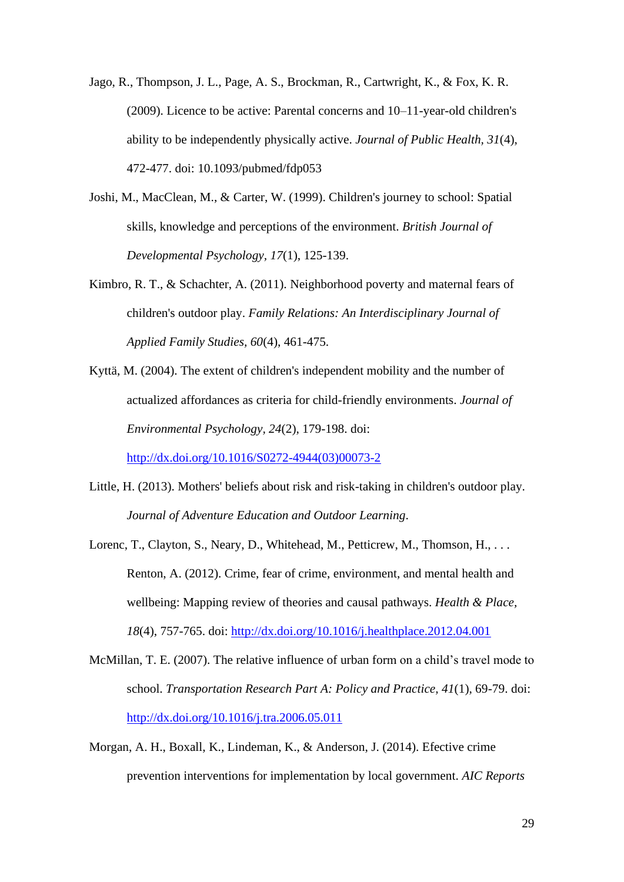<span id="page-28-4"></span>Jago, R., Thompson, J. L., Page, A. S., Brockman, R., Cartwright, K., & Fox, K. R. (2009). Licence to be active: Parental concerns and 10–11-year-old children's ability to be independently physically active. *Journal of Public Health, 31*(4), 472-477. doi: 10.1093/pubmed/fdp053

- <span id="page-28-3"></span>Joshi, M., MacClean, M., & Carter, W. (1999). Children's journey to school: Spatial skills, knowledge and perceptions of the environment. *British Journal of Developmental Psychology, 17*(1), 125-139.
- <span id="page-28-6"></span>Kimbro, R. T., & Schachter, A. (2011). Neighborhood poverty and maternal fears of children's outdoor play. *Family Relations: An Interdisciplinary Journal of Applied Family Studies, 60*(4), 461-475.
- <span id="page-28-2"></span>Kyttä, M. (2004). The extent of children's independent mobility and the number of actualized affordances as criteria for child-friendly environments. *Journal of Environmental Psychology, 24*(2), 179-198. doi:

[http://dx.doi.org/10.1016/S0272-4944\(03\)00073-2](http://dx.doi.org/10.1016/S0272-4944(03)00073-2)

- <span id="page-28-0"></span>Little, H. (2013). Mothers' beliefs about risk and risk-taking in children's outdoor play. *Journal of Adventure Education and Outdoor Learning*.
- <span id="page-28-1"></span>Lorenc, T., Clayton, S., Neary, D., Whitehead, M., Petticrew, M., Thomson, H., ... Renton, A. (2012). Crime, fear of crime, environment, and mental health and wellbeing: Mapping review of theories and causal pathways. *Health & Place, 18*(4), 757-765. doi:<http://dx.doi.org/10.1016/j.healthplace.2012.04.001>
- <span id="page-28-5"></span>McMillan, T. E. (2007). The relative influence of urban form on a child's travel mode to school. *Transportation Research Part A: Policy and Practice, 41*(1), 69-79. doi: <http://dx.doi.org/10.1016/j.tra.2006.05.011>
- <span id="page-28-7"></span>Morgan, A. H., Boxall, K., Lindeman, K., & Anderson, J. (2014). Efective crime prevention interventions for implementation by local government. *AIC Reports*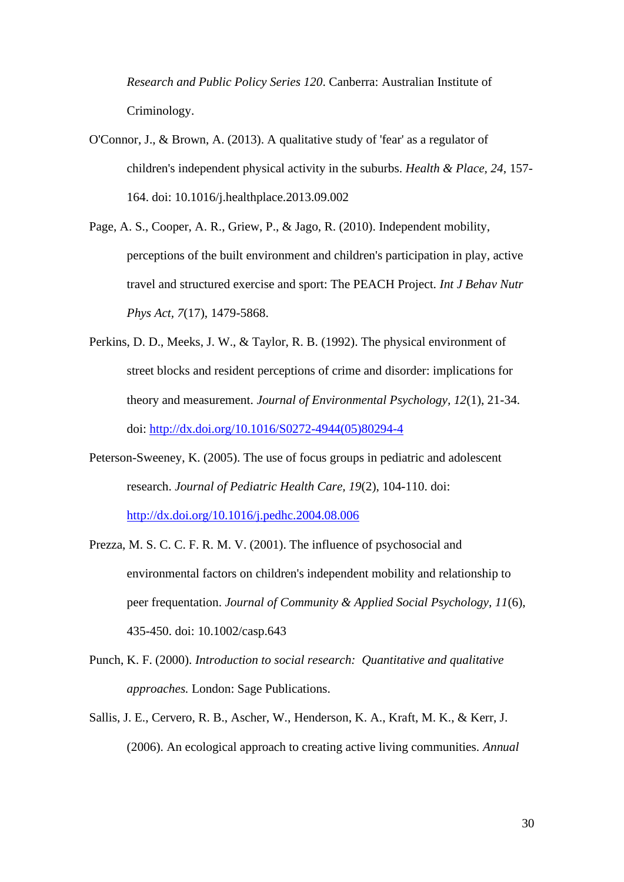*Research and Public Policy Series 120*. Canberra: Australian Institute of Criminology.

- <span id="page-29-0"></span>O'Connor, J., & Brown, A. (2013). A qualitative study of 'fear' as a regulator of children's independent physical activity in the suburbs. *Health & Place, 24*, 157- 164. doi: 10.1016/j.healthplace.2013.09.002
- <span id="page-29-1"></span>Page, A. S., Cooper, A. R., Griew, P., & Jago, R. (2010). Independent mobility, perceptions of the built environment and children's participation in play, active travel and structured exercise and sport: The PEACH Project. *Int J Behav Nutr Phys Act, 7*(17), 1479-5868.
- <span id="page-29-6"></span>Perkins, D. D., Meeks, J. W., & Taylor, R. B. (1992). The physical environment of street blocks and resident perceptions of crime and disorder: implications for theory and measurement. *Journal of Environmental Psychology, 12*(1), 21-34. doi: [http://dx.doi.org/10.1016/S0272-4944\(05\)80294-4](http://dx.doi.org/10.1016/S0272-4944(05)80294-4)
- <span id="page-29-5"></span>Peterson-Sweeney, K. (2005). The use of focus groups in pediatric and adolescent research. *Journal of Pediatric Health Care, 19*(2), 104-110. doi: <http://dx.doi.org/10.1016/j.pedhc.2004.08.006>
- <span id="page-29-2"></span>Prezza, M. S. C. C. F. R. M. V. (2001). The influence of psychosocial and environmental factors on children's independent mobility and relationship to peer frequentation. *Journal of Community & Applied Social Psychology, 11*(6), 435-450. doi: 10.1002/casp.643
- <span id="page-29-3"></span>Punch, K. F. (2000). *Introduction to social research: Quantitative and qualitative approaches.* London: Sage Publications.
- <span id="page-29-4"></span>Sallis, J. E., Cervero, R. B., Ascher, W., Henderson, K. A., Kraft, M. K., & Kerr, J. (2006). An ecological approach to creating active living communities. *Annual*